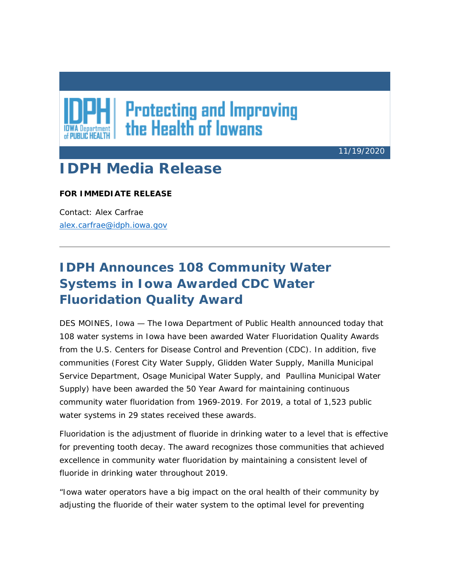## **Protecting and Improving<br>the Health of lowans**

11/19/2020

## **IDPH Media Release**

## **FOR IMMEDIATE RELEASE**

Contact: Alex Carfrae [alex.carfrae@idph.iowa.gov](mailto:amy.mccoy@idph.iowa.gov)

## **IDPH Announces 108 Community Water Systems in Iowa Awarded CDC Water Fluoridation Quality Award**

DES MOINES, Iowa — The Iowa Department of Public Health announced today that 108 water systems in Iowa have been awarded Water Fluoridation Quality Awards from the U.S. Centers for Disease Control and Prevention (CDC). In addition, five communities (Forest City Water Supply, Glidden Water Supply, Manilla Municipal Service Department, Osage Municipal Water Supply, and Paullina Municipal Water Supply) have been awarded the 50 Year Award for maintaining continuous community water fluoridation from 1969-2019. For 2019, a total of 1,523 public water systems in 29 states received these awards.

Fluoridation is the adjustment of fluoride in drinking water to a level that is effective for preventing tooth decay. The award recognizes those communities that achieved excellence in community water fluoridation by maintaining a consistent level of fluoride in drinking water throughout 2019.

"Iowa water operators have a big impact on the oral health of their community by adjusting the fluoride of their water system to the optimal level for preventing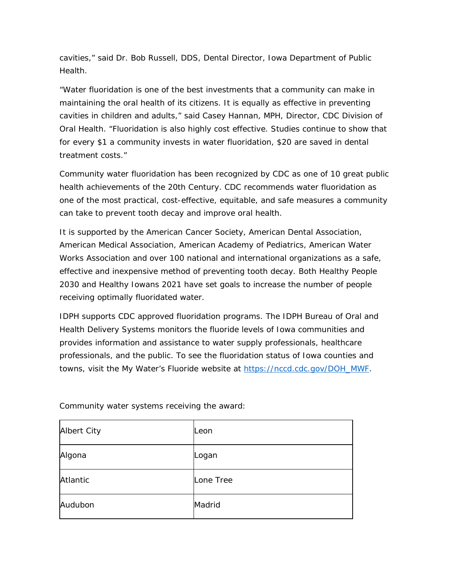cavities," said Dr. Bob Russell, DDS, Dental Director, Iowa Department of Public Health.

"Water fluoridation is one of the best investments that a community can make in maintaining the oral health of its citizens. It is equally as effective in preventing cavities in children and adults," said Casey Hannan, MPH, Director, CDC Division of Oral Health. "Fluoridation is also highly cost effective. Studies continue to show that for every \$1 a community invests in water fluoridation, \$20 are saved in dental treatment costs."

Community water fluoridation has been recognized by CDC as one of 10 great public health achievements of the 20th Century. CDC recommends water fluoridation as one of the most practical, cost-effective, equitable, and safe measures a community can take to prevent tooth decay and improve oral health.

It is supported by the American Cancer Society, American Dental Association, American Medical Association, American Academy of Pediatrics, American Water Works Association and over 100 national and international organizations as a safe, effective and inexpensive method of preventing tooth decay. Both Healthy People 2030 and Healthy Iowans 2021 have set goals to increase the number of people receiving optimally fluoridated water.

IDPH supports CDC approved fluoridation programs. The IDPH Bureau of Oral and Health Delivery Systems monitors the fluoride levels of Iowa communities and provides information and assistance to water supply professionals, healthcare professionals, and the public. To see the fluoridation status of Iowa counties and towns, visit the My Water's Fluoride website at [https://nccd.cdc.gov/DOH\\_MWF.](https://lnks.gd/l/eyJhbGciOiJIUzI1NiJ9.eyJidWxsZXRpbl9saW5rX2lkIjoxMDEsInVyaSI6ImJwMjpjbGljayIsImJ1bGxldGluX2lkIjoiMjAyMDExMTkuMzA3OTg2NTEiLCJ1cmwiOiJodHRwczovL25jY2QuY2RjLmdvdi9ET0hfTVdGP3V0bV9tZWRpdW09ZW1haWwmdXRtX3NvdXJjZT1nb3ZkZWxpdmVyeSJ9.zqO2xMe4xOCVWxL-8G0YslPHz7PfNLpapBPGUem-A0o/s/607179538/br/90135067010-l)

| Albert City | Leon      |
|-------------|-----------|
| Algona      | Logan     |
| Atlantic    | Lone Tree |
| Audubon     | Madrid    |

Community water systems receiving the award: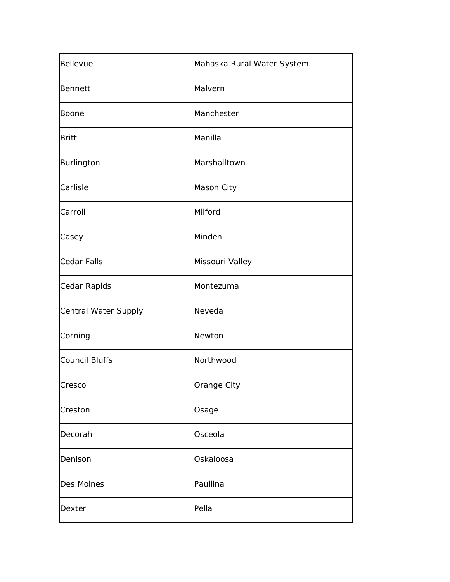| Bellevue              | Mahaska Rural Water System |
|-----------------------|----------------------------|
| Bennett               | Malvern                    |
| Boone                 | Manchester                 |
| <b>Britt</b>          | Manilla                    |
| Burlington            | Marshalltown               |
| Carlisle              | Mason City                 |
| Carroll               | Milford                    |
| Casey                 | Minden                     |
| <b>Cedar Falls</b>    | Missouri Valley            |
| Cedar Rapids          | Montezuma                  |
| Central Water Supply  | Neveda                     |
| Corning               | Newton                     |
| <b>Council Bluffs</b> | Northwood                  |
| Cresco                | Orange City                |
| Creston               | Osage                      |
| Decorah               | Osceola                    |
| Denison               | Oskaloosa                  |
| Des Moines            | Paullina                   |
| Dexter                | Pella                      |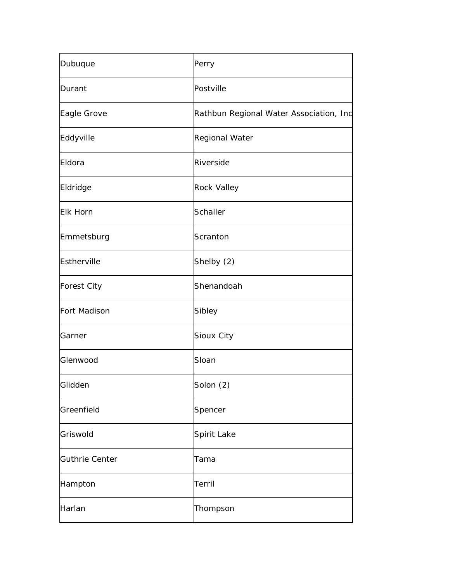| Dubuque            | Perry                                   |
|--------------------|-----------------------------------------|
| Durant             | Postville                               |
| Eagle Grove        | Rathbun Regional Water Association, Inc |
| Eddyville          | Regional Water                          |
| Eldora             | Riverside                               |
| Eldridge           | <b>Rock Valley</b>                      |
| <b>Elk Horn</b>    | Schaller                                |
| Emmetsburg         | Scranton                                |
| Estherville        | Shelby (2)                              |
| <b>Forest City</b> | Shenandoah                              |
| Fort Madison       | Sibley                                  |
| Garner             | Sioux City                              |
| Glenwood           | Sloan                                   |
| Glidden            | Solon (2)                               |
| Greenfield         | Spencer                                 |
| Griswold           | Spirit Lake                             |
| Guthrie Center     | Tama                                    |
| Hampton            | Terril                                  |
| Harlan             | Thompson                                |